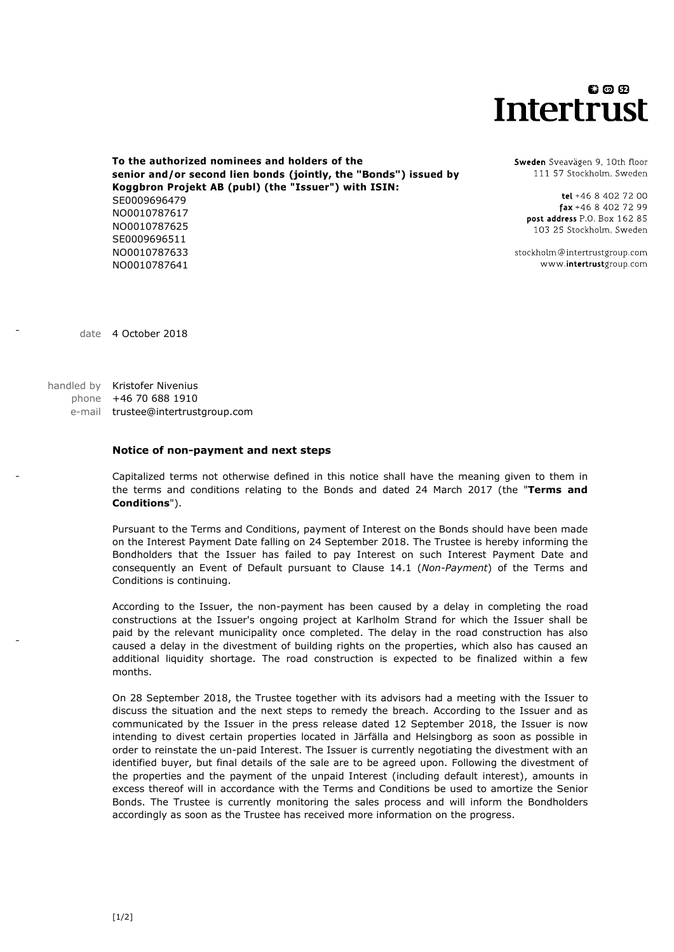## 00 Q **Intertrust**

**To the authorized nominees and holders of the senior and/or second lien bonds (jointly, the "Bonds") issued by Koggbron Projekt AB (publ) (the "Issuer") with ISIN:** SE0009696479 NO0010787617 NO0010787625 SE0009696511 NO0010787641 NO0010787633

Sweden Sveavägen 9, 10th floor 111 57 Stockholm, Sweden

tel +46 8 402 72 00  $\frac{1}{2}$  fax +46 8 402 72 99 post address P.O. Box 162 85 103.25 Stockholm, Sweden

stockholm@intertrustgroup.com www.intertrustgroup.com

date 4 October 2018

handled by Kristofer Nivenius phone +46 70 688 1910 e-mail trustee@intertrustgroup.com

## **Notice of non-payment and next steps**

Capitalized terms not otherwise defined in this notice shall have the meaning given to them in the terms and conditions relating to the Bonds and dated 24 March 2017 (the "**Terms and Conditions**").

Pursuant to the Terms and Conditions, payment of Interest on the Bonds should have been made on the Interest Payment Date falling on 24 September 2018. The Trustee is hereby informing the Bondholders that the Issuer has failed to pay Interest on such Interest Payment Date and consequently an Event of Default pursuant to Clause 14.1 (*Non-Payment*) of the Terms and Conditions is continuing.

According to the Issuer, the non-payment has been caused by a delay in completing the road constructions at the Issuer's ongoing project at Karlholm Strand for which the Issuer shall be paid by the relevant municipality once completed. The delay in the road construction has also caused a delay in the divestment of building rights on the properties, which also has caused an additional liquidity shortage. The road construction is expected to be finalized within a few months.

On 28 September 2018, the Trustee together with its advisors had a meeting with the Issuer to discuss the situation and the next steps to remedy the breach. According to the Issuer and as communicated by the Issuer in the press release dated 12 September 2018, the Issuer is now intending to divest certain properties located in Järfälla and Helsingborg as soon as possible in order to reinstate the un-paid Interest. The Issuer is currently negotiating the divestment with an identified buyer, but final details of the sale are to be agreed upon. Following the divestment of the properties and the payment of the unpaid Interest (including default interest), amounts in excess thereof will in accordance with the Terms and Conditions be used to amortize the Senior Bonds. The Trustee is currently monitoring the sales process and will inform the Bondholders accordingly as soon as the Trustee has received more information on the progress.